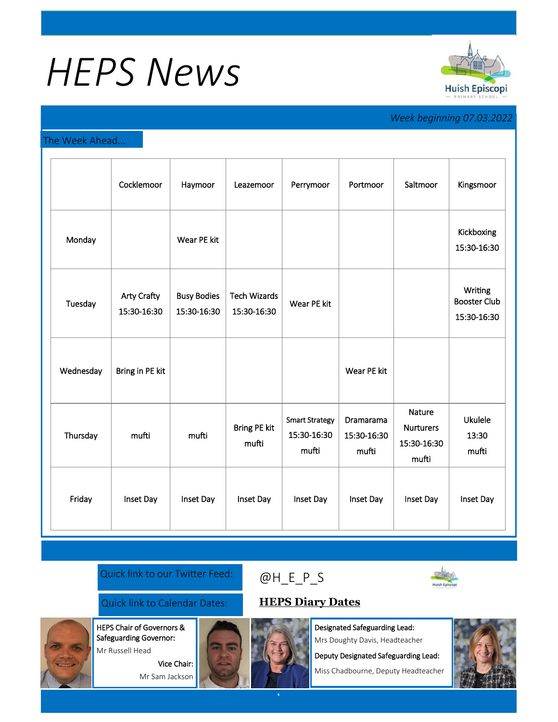# *HEPS News*



## *Week beginning 07.03.2022*

#### The Week Ahead...

|           | Cocklemoor                        | Haymoor                           | Leazemoor                          | Perrymoor                                     | Portmoor                                 | Saltmoor                                           | Kingsmoor                                     |
|-----------|-----------------------------------|-----------------------------------|------------------------------------|-----------------------------------------------|------------------------------------------|----------------------------------------------------|-----------------------------------------------|
| Monday    |                                   | Wear PE kit                       |                                    |                                               |                                          |                                                    | Kickboxing<br>15:30-16:30                     |
| Tuesday   | <b>Arty Crafty</b><br>15:30-16:30 | <b>Busy Bodies</b><br>15:30-16:30 | <b>Tech Wizards</b><br>15:30-16:30 | Wear PE kit                                   |                                          |                                                    | Writing<br><b>Booster Club</b><br>15:30-16:30 |
| Wednesday | Bring in PE kit                   |                                   |                                    |                                               | Wear PE kit                              |                                                    |                                               |
| Thursday  | mufti                             | mufti                             | <b>Bring PE kit</b><br>mufti       | <b>Smart Strategy</b><br>15:30-16:30<br>mufti | <b>Dramarama</b><br>15:30-16:30<br>mufti | Nature<br><b>Nurturers</b><br>15:30-16:30<br>mufti | <b>Ukulele</b><br>13:30<br>mufti              |
| Friday    | Inset Day                         | Inset Day                         | Inset Day                          | Inset Day                                     | Inset Day                                | Inset Day                                          | Inset Day                                     |

#### Quick link to our Twitter Feed:

### Quick link to Calendar Dates: **[HEPS Diary Dates](https://huishepiscopiprimary.co.uk/diary-dates/)**

HEPS Chair of Governors &

Safeguarding Governor: Mr Russell Head

> Vice Chair: Mr Sam Jackson



Designated Safeguarding Lead:

Mrs Doughty Davis, Headteacher

Deputy Designated Safeguarding Lead:

Miss Chadbourne, Deputy Headteacher